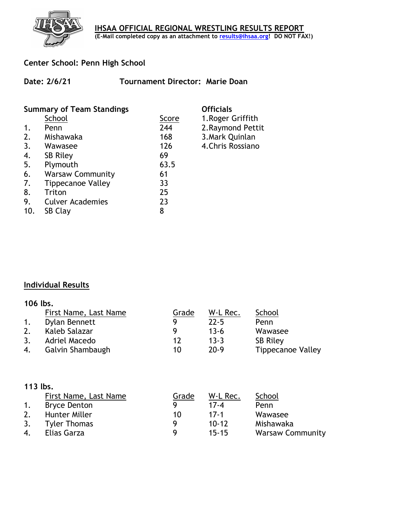## Center School: Penn High School

| Date: 2/6/21 | Tournament Director: Marie Doan |  |
|--------------|---------------------------------|--|
|              |                                 |  |

|     | <b>Summary of Team Standings</b> |       | <b>Officials</b>  |
|-----|----------------------------------|-------|-------------------|
|     | School                           | Score | 1. Roger Griffith |
|     | Penn                             | 244   | 2. Raymond Pettit |
| 2.  | Mishawaka                        | 168   | 3. Mark Quinlan   |
| 3.  | Wawasee                          | 126   | 4. Chris Rossiano |
| 4.  | <b>SB Riley</b>                  | 69    |                   |
| 5.  | Plymouth                         | 63.5  |                   |
| 6.  | <b>Warsaw Community</b>          | 61    |                   |
| 7.  | <b>Tippecanoe Valley</b>         | 33    |                   |
| 8.  | Triton                           | 25    |                   |
| 9.  | <b>Culver Academies</b>          | 23    |                   |
| 10. | SB Clay                          | 8     |                   |

## Individual Results

|    | 106 lbs.              |       |          |                          |
|----|-----------------------|-------|----------|--------------------------|
|    | First Name, Last Name | Grade | W-L Rec. | School                   |
| 1. | Dylan Bennett         | Q     | $22 - 5$ | Penn                     |
| 2. | Kaleb Salazar         | Q     | $13 - 6$ | Wawasee                  |
| 3. | Adriel Macedo         | 12    | $13 - 3$ | <b>SB Riley</b>          |
| 4. | Galvin Shambaugh      | 10    | $20-9$   | <b>Tippecanoe Valley</b> |

| 113 lbs. |                       |       |           |                         |
|----------|-----------------------|-------|-----------|-------------------------|
|          | First Name, Last Name | Grade | W-L Rec.  | School                  |
| 1.       | <b>Bryce Denton</b>   | Q     | $17 - 4$  | Penn                    |
| 2.       | Hunter Miller         | 10    | $17-1$    | Wawasee                 |
| 3.       | <b>Tyler Thomas</b>   | Q     | $10 - 12$ | Mishawaka               |
| 4.       | Elias Garza           | Q     | $15 - 15$ | <b>Warsaw Community</b> |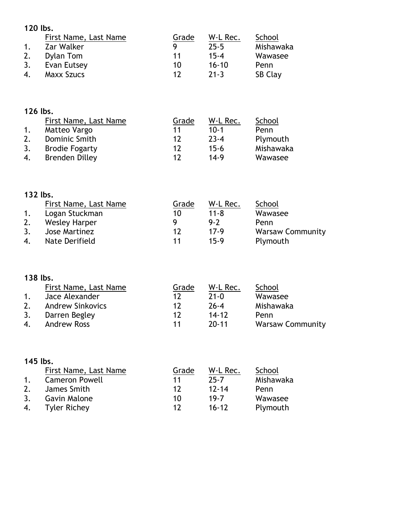120 lbs.

|                      | First Name, Last Name | Grade | W-L Rec.  | School         |
|----------------------|-----------------------|-------|-----------|----------------|
| $\mathbf{1}_{\cdot}$ | Zar Walker            | Q     | $75 - 5$  | Mishawaka      |
| 2.                   | Dylan Tom             | 11    | $15 - 4$  | Wawasee        |
| 3.                   | Evan Eutsey           | 10    | $16 - 10$ | Penn           |
| 4.                   | <b>Maxx Szucs</b>     | 17    | $71-3$    | <b>SB Clay</b> |

|    | 126 lbs.              |       |          |           |
|----|-----------------------|-------|----------|-----------|
|    | First Name, Last Name | Grade | W-L Rec. | School    |
| 1. | Matteo Vargo          | 11    | $10-1$   | Penn      |
| 2. | Dominic Smith         | 12    | $23 - 4$ | Plymouth  |
| 3. | <b>Brodie Fogarty</b> | 12    | $15 - 6$ | Mishawaka |
| 4. | <b>Brenden Dilley</b> | 12    | $14-9$   | Wawasee   |

| 132 lbs.       |                       |       |          |                         |
|----------------|-----------------------|-------|----------|-------------------------|
|                | First Name, Last Name | Grade | W-L Rec. | School                  |
| $\mathbf{1}$ . | Logan Stuckman        | 10    | $11 - 8$ | Wawasee                 |
| 2.             | <b>Wesley Harper</b>  |       | $9-2$    | Penn                    |
| 3.             | Jose Martinez         | 12    | $17-9$   | <b>Warsaw Community</b> |
| 4.             | Nate Derifield        | 11    | 15-9     | Plymouth                |

| 138 lbs. |                         |       |           |                         |  |
|----------|-------------------------|-------|-----------|-------------------------|--|
|          | First Name, Last Name   | Grade | W-L Rec.  | School                  |  |
| 1.       | Jace Alexander          | 12    | $21 - 0$  | Wawasee                 |  |
| 2.       | <b>Andrew Sinkovics</b> | 12    | $26 - 4$  | Mishawaka               |  |
| 3.       | Darren Begley           | 12    | $14 - 12$ | Penn                    |  |
| 4.       | <b>Andrew Ross</b>      | 11    | $20 - 11$ | <b>Warsaw Community</b> |  |

|                | $145$ lbs.            |       |           |           |  |  |
|----------------|-----------------------|-------|-----------|-----------|--|--|
|                | First Name, Last Name | Grade | W-L Rec.  | School    |  |  |
| $\mathbf{1}$ . | <b>Cameron Powell</b> | 11    | $75 - 7$  | Mishawaka |  |  |
| 2.             | James Smith           | 17    | $12 - 14$ | Penn      |  |  |
| $\mathbf{3}$ . | Gavin Malone          | 10    | 19-7      | Wawasee   |  |  |
| 4.             | <b>Tyler Richey</b>   | 17    | $16 - 17$ | Plymouth  |  |  |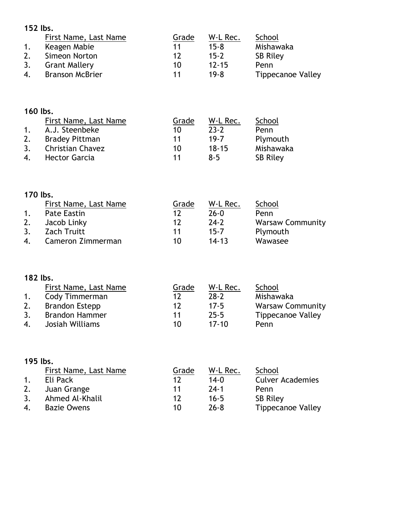152 lbs.<br>First Name, Last Name Grade W-L Rec. School

| 1. | Keagen Mabie           | 11 | $15 - 8$  | Mishawaka                |
|----|------------------------|----|-----------|--------------------------|
| 2. | Simeon Norton          | 17 | $15-7$    | <b>SB Riley</b>          |
| 3. | <b>Grant Mallery</b>   | 10 | $12 - 15$ | Penn                     |
| 4. | <b>Branson McBrier</b> | 11 | 19-8      | <b>Tippecanoe Valley</b> |
|    |                        |    |           |                          |

## 160 lbs.

|                | First Name, Last Name   | Grade | W-L Rec.  | School          |
|----------------|-------------------------|-------|-----------|-----------------|
| $\mathbf{1}$ . | A.J. Steenbeke          | 10    | $23 - 2$  | Penn            |
| 2.             | <b>Bradey Pittman</b>   | 11    | 19-7      | Plymouth        |
| 3.             | <b>Christian Chavez</b> | 10    | $18 - 15$ | Mishawaka       |
| 4.             | <b>Hector Garcia</b>    | 11    | $8 - 5$   | <b>SB Riley</b> |

| 170 lbs. |                       |       |           |                         |
|----------|-----------------------|-------|-----------|-------------------------|
|          | First Name, Last Name | Grade | W-L Rec.  | School                  |
| 1.       | <b>Pate Eastin</b>    | 12    | $26 - 0$  | Penn                    |
| 2.       | Jacob Linky           | 12    | $24-2$    | <b>Warsaw Community</b> |
| 3.       | <b>Zach Truitt</b>    | 11    | $15 - 7$  | Plymouth                |
| 4.       | Cameron Zimmerman     | 10    | $14 - 13$ | Wawasee                 |

| 182 lbs. |                       |       |          |                          |  |
|----------|-----------------------|-------|----------|--------------------------|--|
|          | First Name, Last Name | Grade | W-L Rec. | School                   |  |
| 1.       | Cody Timmerman        | 12    | $28-2$   | Mishawaka                |  |
| 2.       | <b>Brandon Estepp</b> | 12    | $17-5$   | <b>Warsaw Community</b>  |  |
| 3.       | <b>Brandon Hammer</b> | 11    | $25 - 5$ | <b>Tippecanoe Valley</b> |  |
| 4.       | Josiah Williams       | 10    | $17-10$  | Penn                     |  |

| 195 lbs. |                       |       |          |                          |
|----------|-----------------------|-------|----------|--------------------------|
|          | First Name, Last Name | Grade | W-L Rec. | School                   |
| 1.       | Eli Pack              | 12    | $14 - 0$ | <b>Culver Academies</b>  |
| 2.       | Juan Grange           | 11    | $74-1$   | Penn                     |
| 3.       | Ahmed Al-Khalil       | 12    | $16 - 5$ | <b>SB Riley</b>          |
| 4.       | <b>Bazie Owens</b>    | 10    | $26 - 8$ | <b>Tippecanoe Valley</b> |